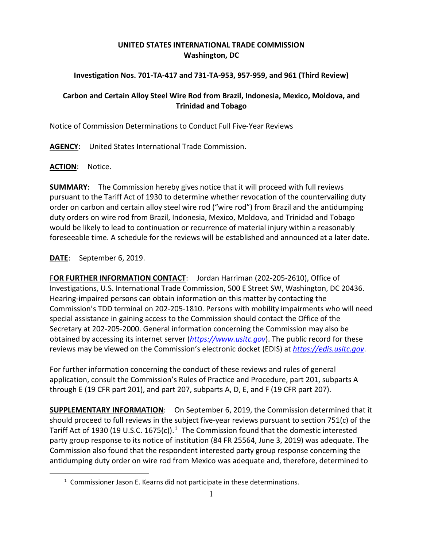## **UNITED STATES INTERNATIONAL TRADE COMMISSION Washington, DC**

## **Investigation Nos. 701-TA-417 and 731-TA-953, 957-959, and 961 (Third Review)**

## **Carbon and Certain Alloy Steel Wire Rod from Brazil, Indonesia, Mexico, Moldova, and Trinidad and Tobago**

Notice of Commission Determinations to Conduct Full Five-Year Reviews

**AGENCY**: United States International Trade Commission.

## **ACTION**: Notice.

**SUMMARY**: The Commission hereby gives notice that it will proceed with full reviews pursuant to the Tariff Act of 1930 to determine whether revocation of the countervailing duty order on carbon and certain alloy steel wire rod ("wire rod") from Brazil and the antidumping duty orders on wire rod from Brazil, Indonesia, Mexico, Moldova, and Trinidad and Tobago would be likely to lead to continuation or recurrence of material injury within a reasonably foreseeable time. A schedule for the reviews will be established and announced at a later date.

**DATE**: September 6, 2019.

<span id="page-0-0"></span> $\overline{a}$ 

F**OR FURTHER INFORMATION CONTACT**: Jordan Harriman (202-205-2610), Office of Investigations, U.S. International Trade Commission, 500 E Street SW, Washington, DC 20436. Hearing-impaired persons can obtain information on this matter by contacting the Commission's TDD terminal on 202-205-1810. Persons with mobility impairments who will need special assistance in gaining access to the Commission should contact the Office of the Secretary at 202-205-2000. General information concerning the Commission may also be obtained by accessing its internet server (*[https://www.usitc.gov](https://www.usitc.gov/)*). The public record for these reviews may be viewed on the Commission's electronic docket (EDIS) at *[https://edis.usitc.gov](https://edis.usitc.gov/)*.

For further information concerning the conduct of these reviews and rules of general application, consult the Commission's Rules of Practice and Procedure, part 201, subparts A through E (19 CFR part 201), and part 207, subparts A, D, E, and F (19 CFR part 207).

**SUPPLEMENTARY INFORMATION**: On September 6, 2019, the Commission determined that it should proceed to full reviews in the subject five-year reviews pursuant to section 751(c) of the Tariff Act of [1](#page-0-0)930 (19 U.S.C. 1675(c)).<sup>1</sup> The Commission found that the domestic interested party group response to its notice of institution (84 FR 25564, June 3, 2019) was adequate. The Commission also found that the respondent interested party group response concerning the antidumping duty order on wire rod from Mexico was adequate and, therefore, determined to

<sup>&</sup>lt;sup>1</sup> Commissioner Jason E. Kearns did not participate in these determinations.